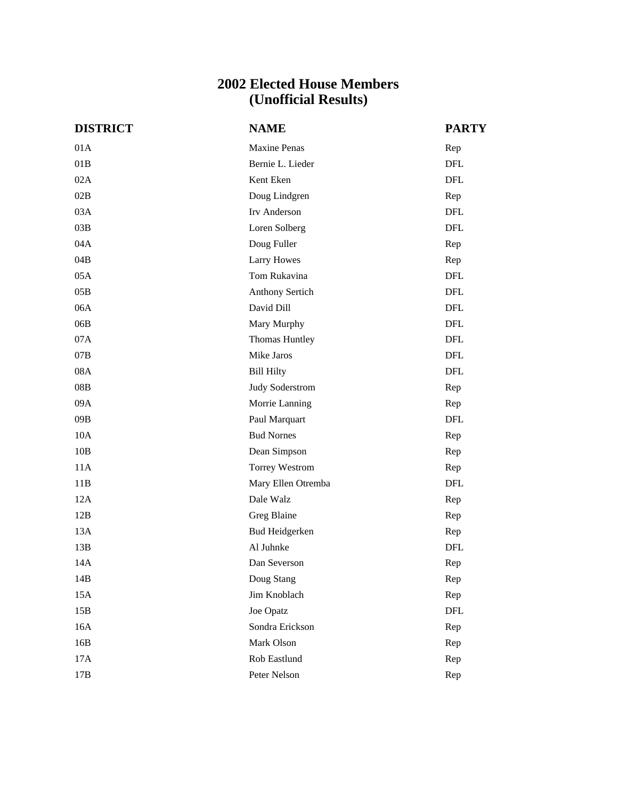## **2002 Elected House Members (Unofficial Results)**

| <b>DISTRICT</b> | <b>NAME</b>           | <b>PARTY</b> |
|-----------------|-----------------------|--------------|
| 01A             | <b>Maxine Penas</b>   | Rep          |
| 01B             | Bernie L. Lieder      | DFL          |
| 02A             | Kent Eken             | <b>DFL</b>   |
| 02B             | Doug Lindgren         | Rep          |
| 03A             | Irv Anderson          | <b>DFL</b>   |
| 03B             | Loren Solberg         | DFL          |
| 04A             | Doug Fuller           | Rep          |
| 04B             | <b>Larry Howes</b>    | Rep          |
| 05A             | Tom Rukavina          | <b>DFL</b>   |
| 05B             | Anthony Sertich       | <b>DFL</b>   |
| 06A             | David Dill            | <b>DFL</b>   |
| 06B             | Mary Murphy           | <b>DFL</b>   |
| 07A             | Thomas Huntley        | <b>DFL</b>   |
| 07B             | Mike Jaros            | <b>DFL</b>   |
| 08A             | <b>Bill Hilty</b>     | DFL          |
| 08B             | Judy Soderstrom       | Rep          |
| 09A             | Morrie Lanning        | Rep          |
| 09B             | Paul Marquart         | <b>DFL</b>   |
| 10A             | <b>Bud Nornes</b>     | Rep          |
| 10B             | Dean Simpson          | Rep          |
| 11A             | Torrey Westrom        | Rep          |
| 11B             | Mary Ellen Otremba    | <b>DFL</b>   |
| 12A             | Dale Walz             | Rep          |
| 12B             | Greg Blaine           | Rep          |
| 13A             | <b>Bud Heidgerken</b> | Rep          |
| 13B             | Al Juhnke             | <b>DFL</b>   |
| 14A             | Dan Severson          | Rep          |
| 14B             | Doug Stang            | Rep          |
| 15A             | Jim Knoblach          | Rep          |
| 15B             | Joe Opatz             | DFL          |
| 16A             | Sondra Erickson       | Rep          |
| 16B             | Mark Olson            | Rep          |
| 17A             | Rob Eastlund          | Rep          |
| $17B$           | Peter Nelson          | Rep          |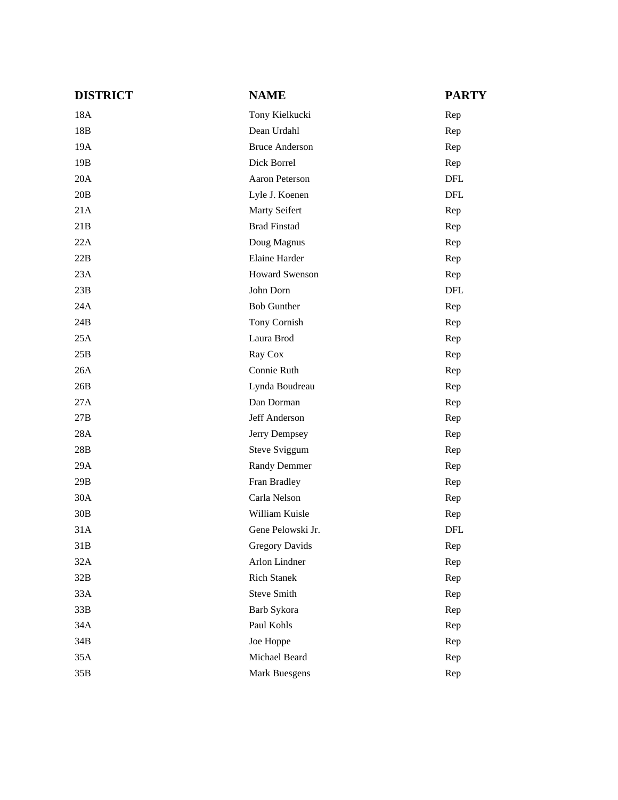| <b>DISTRICT</b> | <b>NAME</b>           | <b>PARTY</b> |
|-----------------|-----------------------|--------------|
| 18A             | Tony Kielkucki        | Rep          |
| 18B             | Dean Urdahl           | Rep          |
| 19A             | <b>Bruce Anderson</b> | Rep          |
| 19B             | Dick Borrel           | Rep          |
| 20A             | Aaron Peterson        | <b>DFL</b>   |
| 20B             | Lyle J. Koenen        | <b>DFL</b>   |
| 21A             | Marty Seifert         | Rep          |
| 21B             | <b>Brad Finstad</b>   | Rep          |
| 22A             | Doug Magnus           | Rep          |
| 22B             | Elaine Harder         | Rep          |
| 23A             | <b>Howard Swenson</b> | Rep          |
| 23B             | John Dorn             | <b>DFL</b>   |
| 24A             | <b>Bob Gunther</b>    | Rep          |
| 24B             | Tony Cornish          | Rep          |
| 25A             | Laura Brod            | Rep          |
| 25B             | Ray Cox               | Rep          |
| 26A             | Connie Ruth           | Rep          |
| 26B             | Lynda Boudreau        | Rep          |
| 27A             | Dan Dorman            | Rep          |
| 27B             | Jeff Anderson         | Rep          |
| 28A             | Jerry Dempsey         | Rep          |
| 28B             | <b>Steve Sviggum</b>  | Rep          |
| 29A             | <b>Randy Demmer</b>   | Rep          |
| 29B             | Fran Bradley          | Rep          |
| 30A             | Carla Nelson          | Rep          |
| 30B             | William Kuisle        | Rep          |
| 31A             | Gene Pelowski Jr.     | <b>DFL</b>   |
| 31B             | <b>Gregory Davids</b> | Rep          |
| 32A             | Arlon Lindner         | Rep          |
| 32B             | <b>Rich Stanek</b>    | Rep          |
| 33A             | <b>Steve Smith</b>    | Rep          |
| 33B             | Barb Sykora           | Rep          |
| 34A             | Paul Kohls            | Rep          |
| 34B             | Joe Hoppe             | Rep          |
| 35A             | Michael Beard         | Rep          |
| 35B             | Mark Buesgens         | Rep          |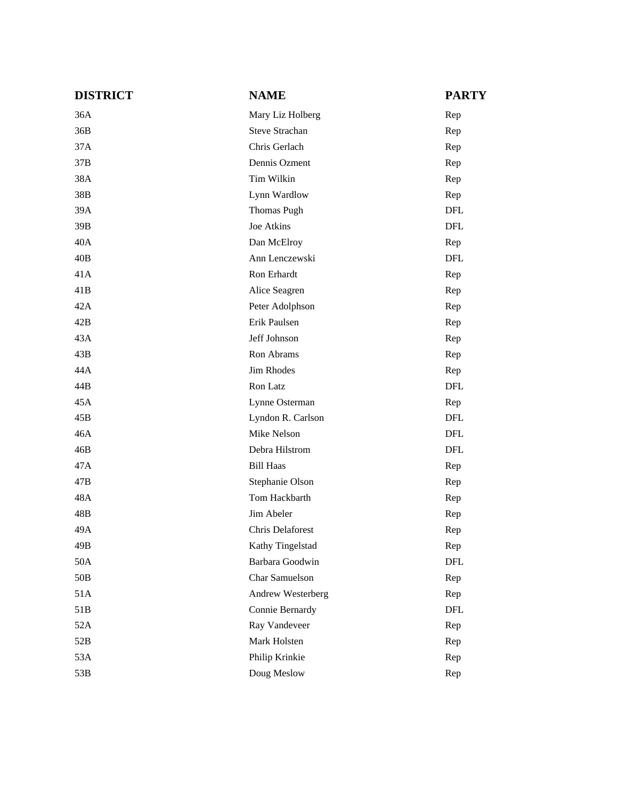| <b>DISTRICT</b> | <b>NAME</b>           | <b>PARTY</b> |
|-----------------|-----------------------|--------------|
| 36A             | Mary Liz Holberg      | Rep          |
| 36B             | <b>Steve Strachan</b> | Rep          |
| 37A             | Chris Gerlach         | Rep          |
| 37B             | Dennis Ozment         | Rep          |
| 38A             | Tim Wilkin            | Rep          |
| 38B             | Lynn Wardlow          | Rep          |
| 39A             | Thomas Pugh           | DFL          |
| 39B             | Joe Atkins            | DFL          |
| 40A             | Dan McElroy           | Rep          |
| 40B             | Ann Lenczewski        | <b>DFL</b>   |
| 41A             | Ron Erhardt           | Rep          |
| 41B             | Alice Seagren         | Rep          |
| 42A             | Peter Adolphson       | Rep          |
| 42B             | Erik Paulsen          | Rep          |
| 43A             | Jeff Johnson          | Rep          |
| 43B             | Ron Abrams            | Rep          |
| 44A             | Jim Rhodes            | Rep          |
| 44B             | Ron Latz              | <b>DFL</b>   |
| 45A             | Lynne Osterman        | Rep          |
| 45B             | Lyndon R. Carlson     | DFL          |
| 46A             | Mike Nelson           | DFL          |
| 46B             | Debra Hilstrom        | <b>DFL</b>   |
| 47A             | <b>Bill Haas</b>      | Rep          |
| 47B             | Stephanie Olson       | Rep          |
| 48A             | Tom Hackbarth         | Rep          |
| 48B             | Jim Abeler            | Rep          |
| 49A             | Chris Delaforest      | Rep          |
| 49B             | Kathy Tingelstad      | Rep          |
| 50A             | Barbara Goodwin       | DFL          |
| $50B$           | Char Samuelson        | Rep          |
| 51A             | Andrew Westerberg     | Rep          |
| 51B             | Connie Bernardy       | DFL          |
| 52A             | Ray Vandeveer         | Rep          |
| 52B             | Mark Holsten          | Rep          |
| 53A             | Philip Krinkie        | Rep          |
| 53B             | Doug Meslow           | Rep          |